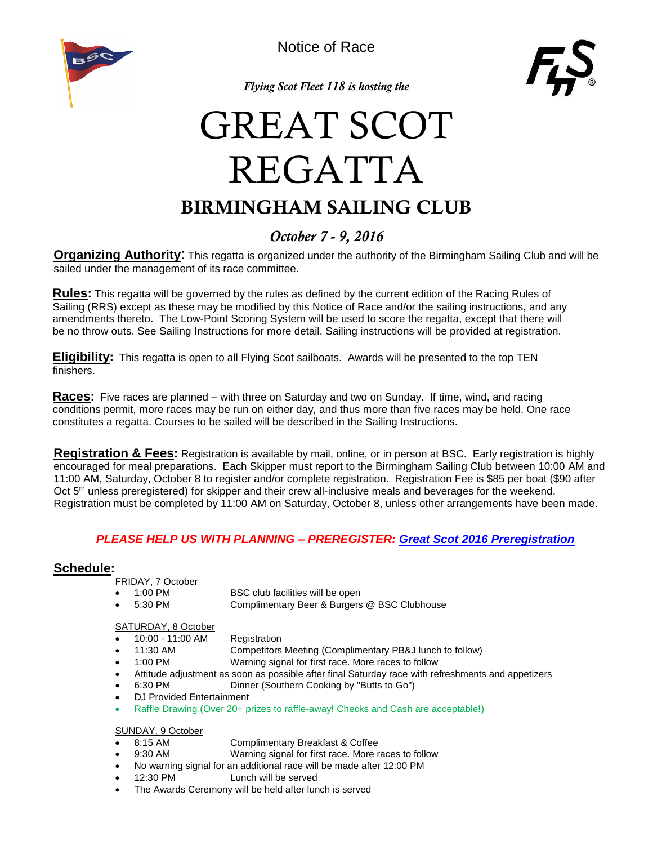

Notice of Race



*Flying Scot Fleet 118 is hosting the* 

## BIRMINGHAM SAILING CLUB GREAT SCOT REGATTA

### *October 7 - 9, 2016*

**Organizing Authority**: This regatta is organized under the authority of the Birmingham Sailing Club and will be sailed under the management of its race committee.

**Rules:** This regatta will be governed by the rules as defined by the current edition of the Racing Rules of Sailing (RRS) except as these may be modified by this Notice of Race and/or the sailing instructions, and any amendments thereto. The Low-Point Scoring System will be used to score the regatta, except that there will be no throw outs. See Sailing Instructions for more detail. Sailing instructions will be provided at registration.

**Eligibility:** This regatta is open to all Flying Scot sailboats. Awards will be presented to the top TEN finishers.

**Races:** Five races are planned – with three on Saturday and two on Sunday. If time, wind, and racing conditions permit, more races may be run on either day, and thus more than five races may be held. One race constitutes a regatta. Courses to be sailed will be described in the Sailing Instructions.

**Registration & Fees:** Registration is available by mail, online, or in person at BSC. Early registration is highly encouraged for meal preparations. Each Skipper must report to the Birmingham Sailing Club between 10:00 AM and 11:00 AM, Saturday, October 8 to register and/or complete registration. Registration Fee is \$85 per boat (\$90 after Oct 5<sup>th</sup> unless preregistered) for skipper and their crew all-inclusive meals and beverages for the weekend. Registration must be completed by 11:00 AM on Saturday, October 8, unless other arrangements have been made.

### *PLEASE HELP US WITH PLANNING – PREREGISTER: [Great Scot 2016 Preregistration](https://docs.google.com/forms/d/e/1FAIpQLSePXjnbbRoJ9BOAtx0OyVlcWXAmhmMgssWR9g12S1jQtqMV8w/viewform?c=0&w=1)*

### **Schedule:**

FRIDAY, 7 October

- 1:00 PM BSC club facilities will be open
- 5:30 PM Complimentary Beer & Burgers @ BSC Clubhouse

### SATURDAY, 8 October

- 10:00 11:00 AM Registration
- 11:30 AM Competitors Meeting (Complimentary PB&J lunch to follow)
	- 1:00 PM Warning signal for first race. More races to follow
- Attitude adjustment as soon as possible after final Saturday race with refreshments and appetizers
- 6:30 PM Dinner (Southern Cooking by "Butts to Go")
- DJ Provided Entertainment
- Raffle Drawing (Over 20+ prizes to raffle-away! Checks and Cash are acceptable!)

#### SUNDAY, 9 October

- 8:15 AM Complimentary Breakfast & Coffee
- 9:30 AM Warning signal for first race. More races to follow
- No warning signal for an additional race will be made after 12:00 PM
- 12:30 PM Lunch will be served
- The Awards Ceremony will be held after lunch is served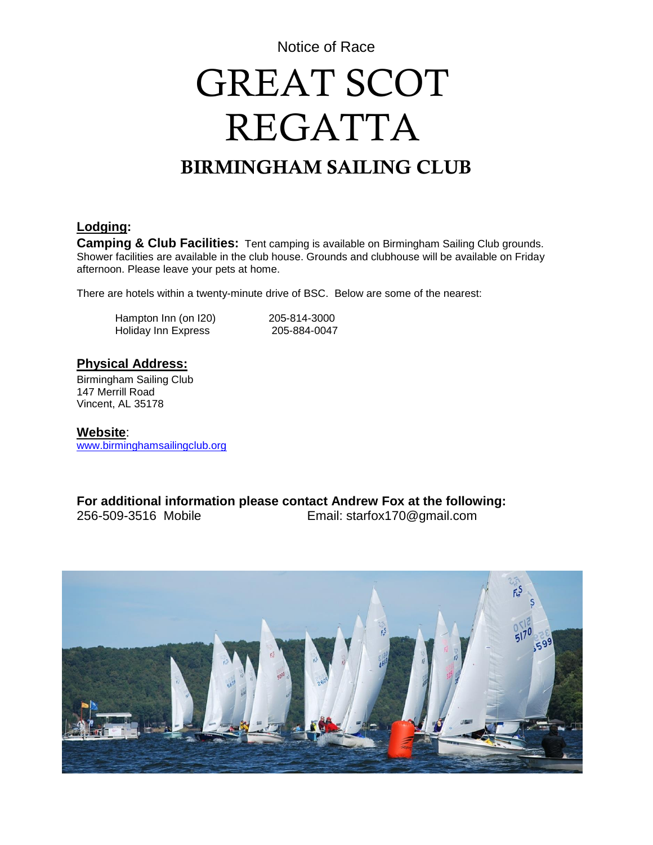Notice of Race

# GREAT SCOT REGATTA

### BIRMINGHAM SAILING CLUB

### **Lodging:**

**Camping & Club Facilities:** Tent camping is available on Birmingham Sailing Club grounds. Shower facilities are available in the club house. Grounds and clubhouse will be available on Friday afternoon. Please leave your pets at home.

There are hotels within a twenty-minute drive of BSC. Below are some of the nearest:

Hampton Inn (on I20) 205-814-3000 Holiday Inn Express 205-884-0047

### **Physical Address:**

Birmingham Sailing Club 147 Merrill Road Vincent, AL 35178

**Website**: [www.birminghamsailingclub.org](http://www.birminghamsailingclub.org/)

**For additional information please contact Andrew Fox at the following:** 256-509-3516 Mobile Email: starfox170@gmail.com